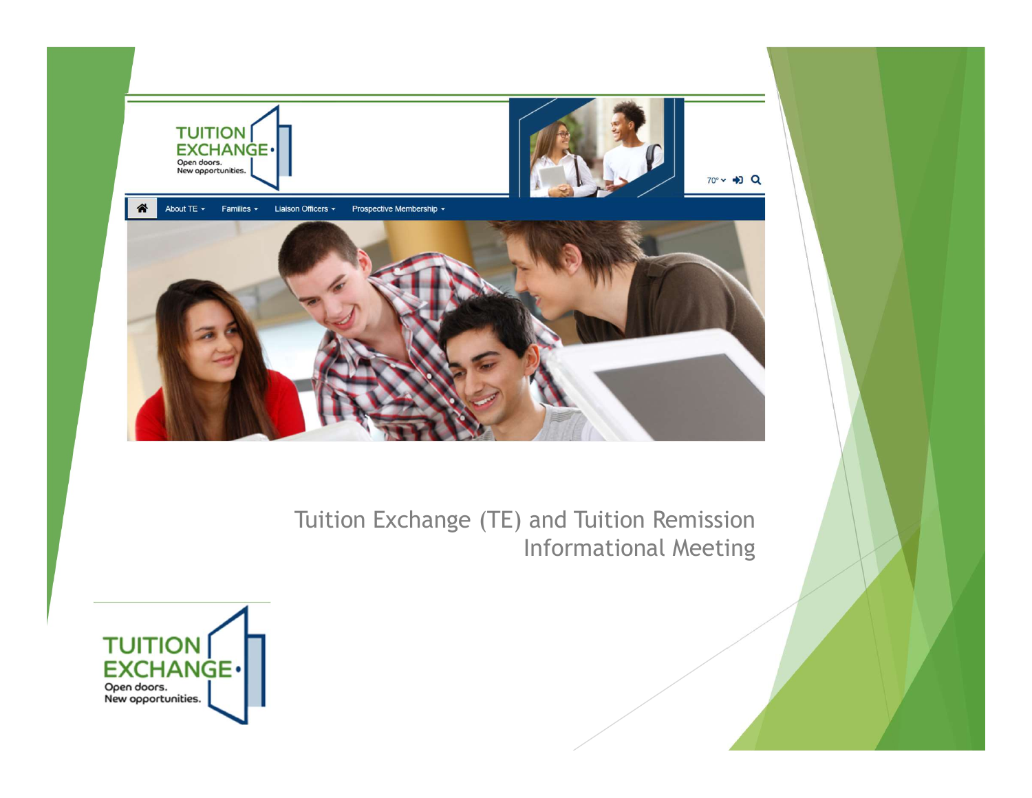

Tuition Exchange (TE) and Tuition Remission Informational Meeting

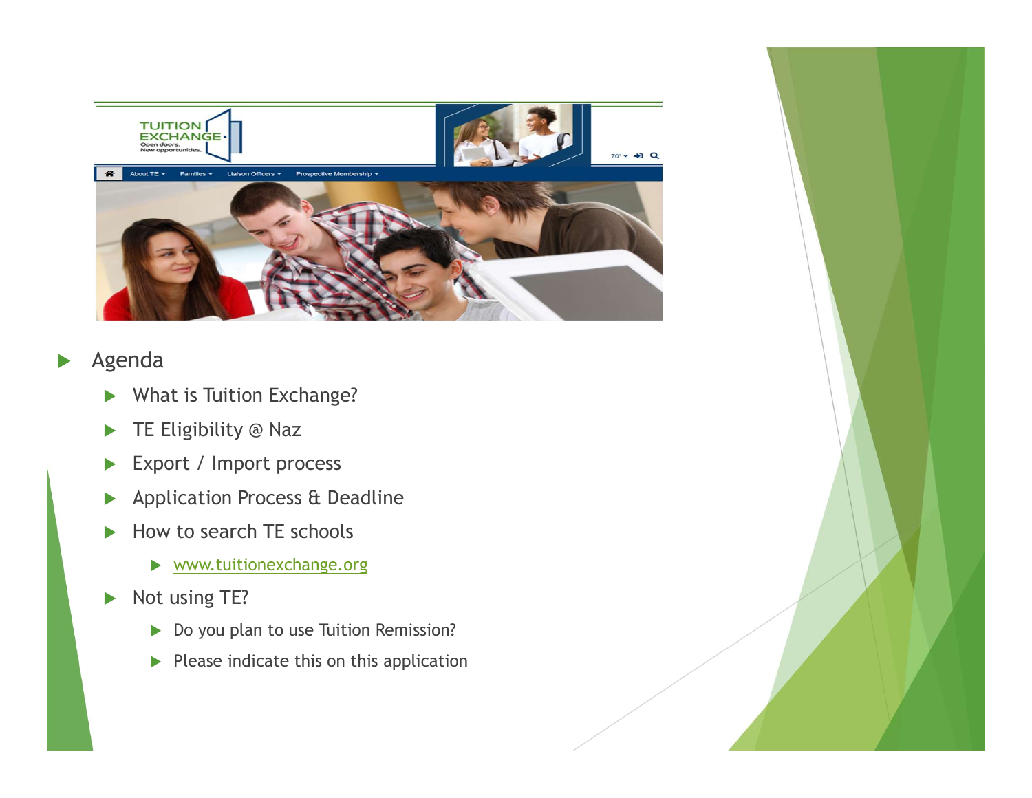

#### Agenda

- What is Tuition Exchange?
- TE Eligibility @ Naz
- Export / Import process
- **Application Process & Deadline**
- How to search TE schools
	- www.tuitionexchange.org
- Not using TE?
	- Do you plan to use Tuition Remission?
	- $\blacktriangleright$  Please indicate this on this application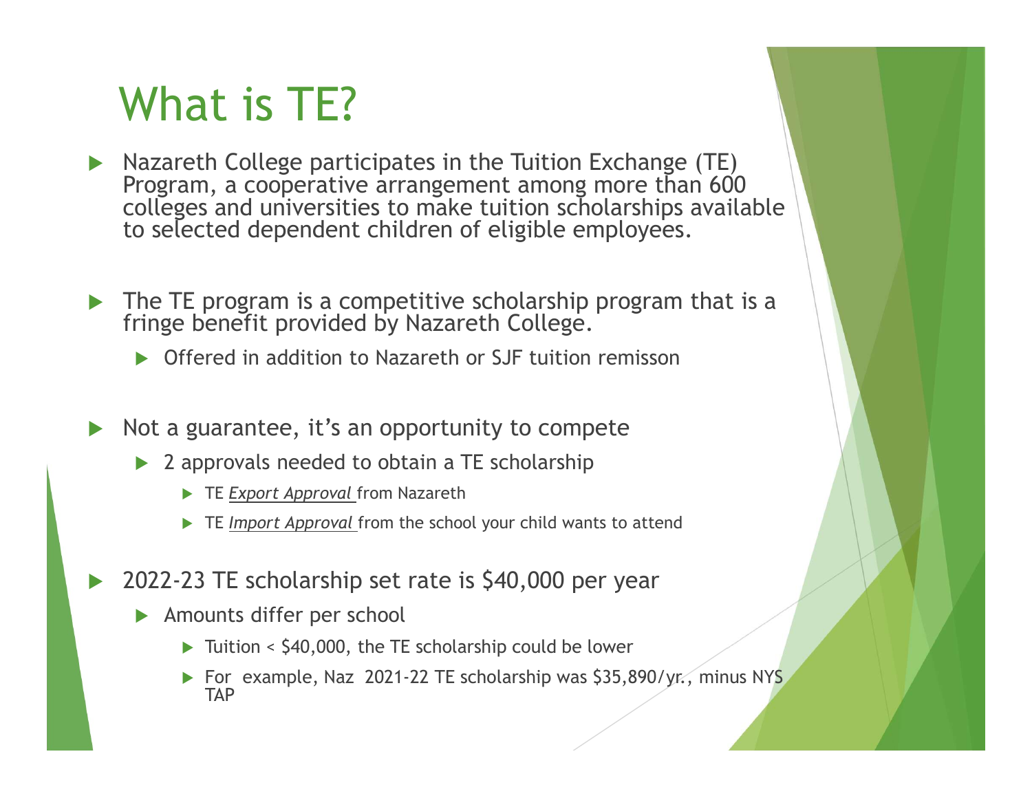# What is TE?

- Nazareth College participates in the Tuition Exchange (TE) Program, a cooperative arrangement among more than 600 colleges and universities to make tuition scholarships available to selected dependent children of eligible employees.
- The TE program is a competitive scholarship program that is a fringe benefit provided by Nazareth College.
	- ▶ Offered in addition to Nazareth or SJF tuition remisson
- $\triangleright$  Not a guarantee, it's an opportunity to compete
	- ▶ 2 approvals needed to obtain a TE scholarship
		- TE Export Approval from Nazareth
		- $\triangleright$  TE Import Approval from the school your child wants to attend
- 2022-23 TE scholarship set rate is \$40,000 per year
	- Amounts differ per school
		- $\triangleright$  Tuition < \$40,000, the TE scholarship could be lower
		- For example, Naz 2021-22 TE scholarship was \$35,890/yr., minus NYS TAP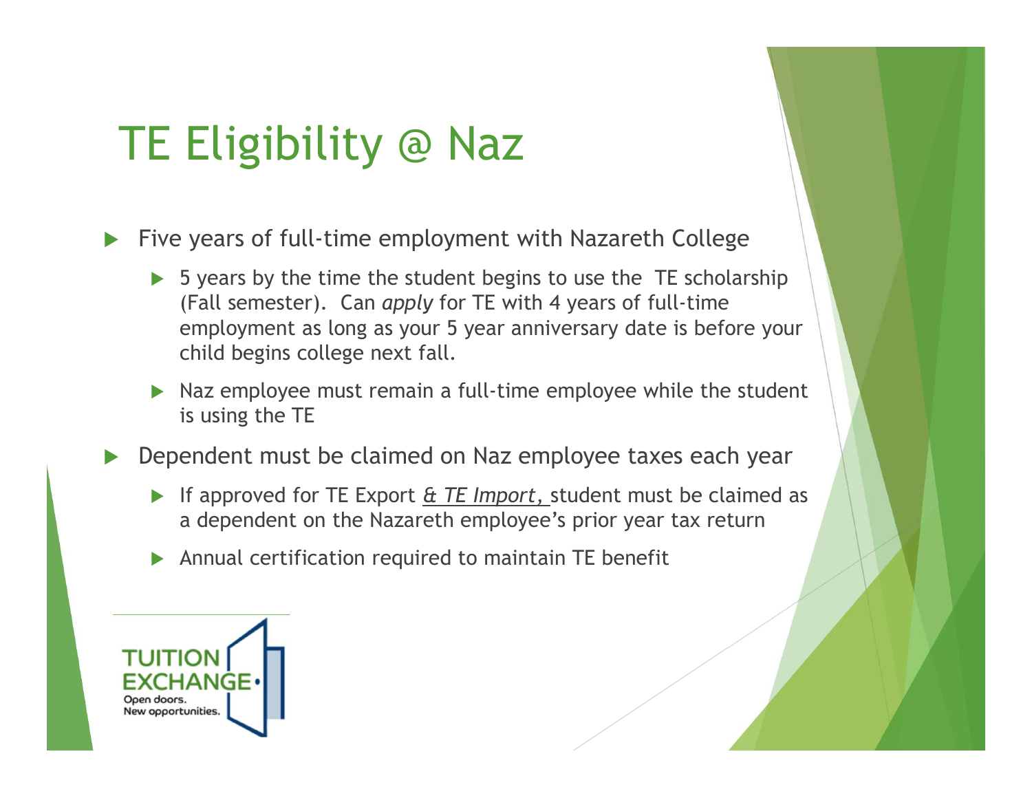## TE Eligibility @ Naz

Five years of full-time employment with Nazareth College

- $\triangleright$  5 years by the time the student begins to use the TE scholarship (Fall semester). Can apply for TE with 4 years of full-time employment as long as your 5 year anniversary date is before your child begins college next fall.
- $\triangleright$  Naz employee must remain a full-time employee while the student is using the TE

Dependent must be claimed on Naz employee taxes each year

- If approved for TE Export  $E$  TE Import, student must be claimed as a dependent on the Nazareth employee's prior year tax return
- Annual certification required to maintain TE benefit

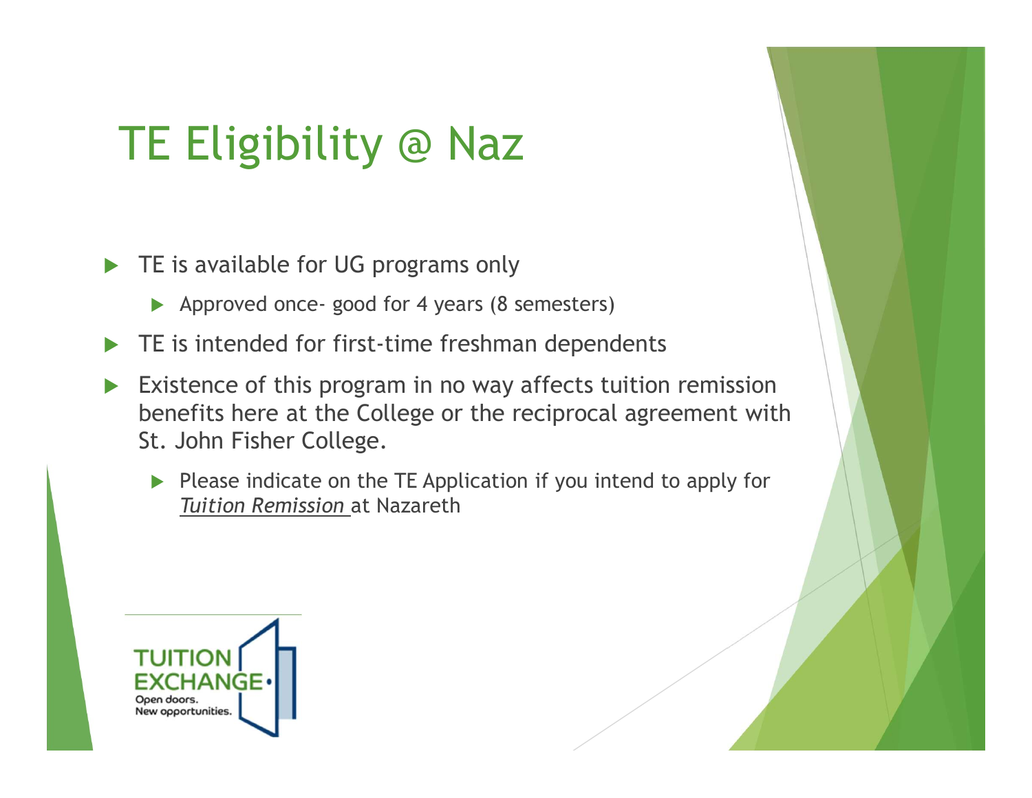# TE Eligibility @ Naz E Eligibility @ Naz<br>E is available for UG programs only<br>Approved once- good for 4 years (8 semesters)<br>E is intended for first-time freshman dependents<br>xistence of this program in no wav affects tuition remission

TE is available for UG programs only

- 
- $\blacktriangleright$  TE is intended for first-time freshman dependents
- Existence of this program in no way affects tuition remission benefits here at the College or the reciprocal agreement with St. John Fisher College.
	- $\triangleright$  Please indicate on the TE Application if you intend to apply for Tuition Remission at Nazareth

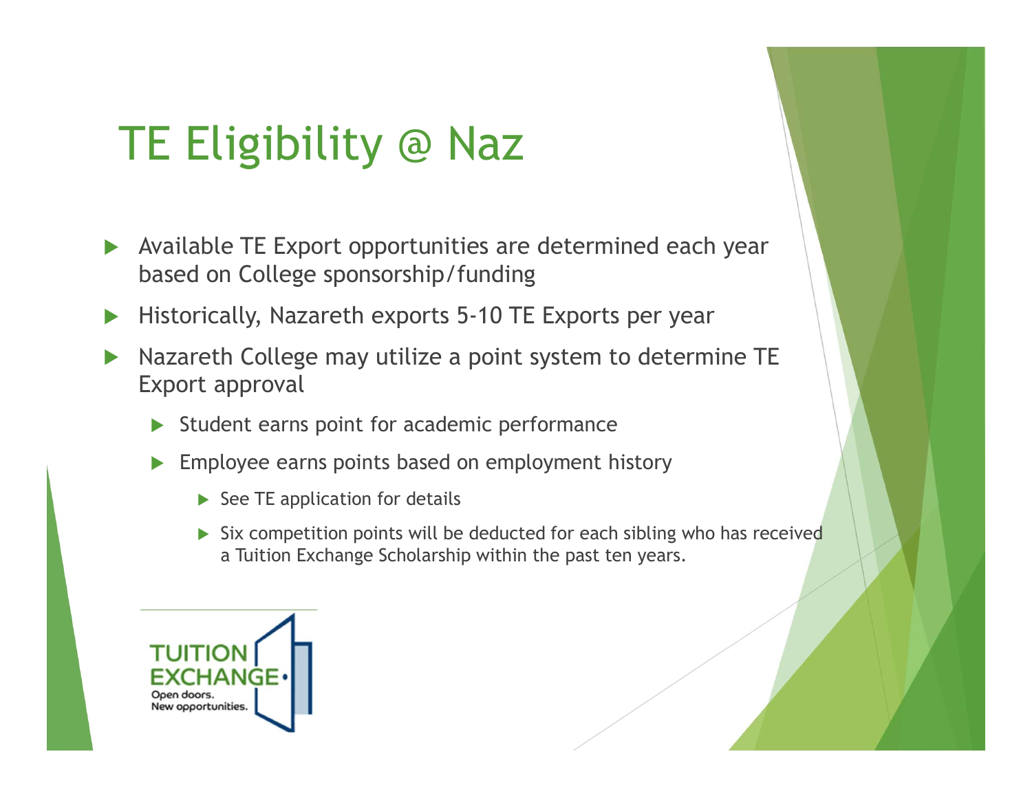# TE Eligibility @ Naz

- Available TE Export opportunities are determined each year based on College sponsorship/funding
- ▶ Historically, Nazareth exports 5-10 TE Exports per year
- ▶ Nazareth College may utilize a point system to determine TE Export approval
	- Student earns point for academic performance
	- Employee earns points based on employment history
		- $\triangleright$  See TE application for details
		- $\triangleright$  Six competition points will be deducted for each sibling who has received a Tuition Exchange Scholarship within the past ten years.

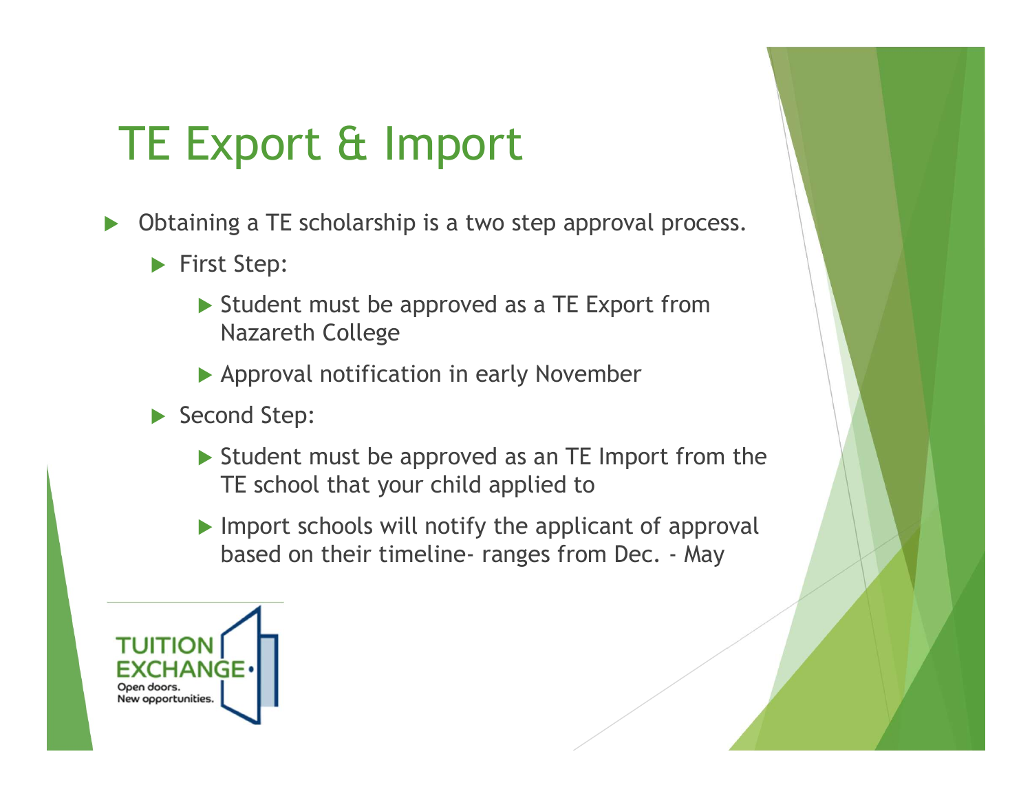# TE Export & Import

- ▶ Obtaining a TE scholarship is a two step approval process.
	- First Step:
		- Student must be approved as a TE Export from Nazareth College
		- Approval notification in early November
	- Second Step:
- ▶ Student must be approved as an TE Import from the TE school that your child applied to ng a I E scholarship is a two step approval process.<br>
E Step:<br>
Student must be approved as a TE Export from<br>
Nazareth College<br>
Approval notification in early November<br>
Indeptive<br>
Student must be approved as an TE Import fr
	- $\blacktriangleright$  Import schools will notify the applicant of approval

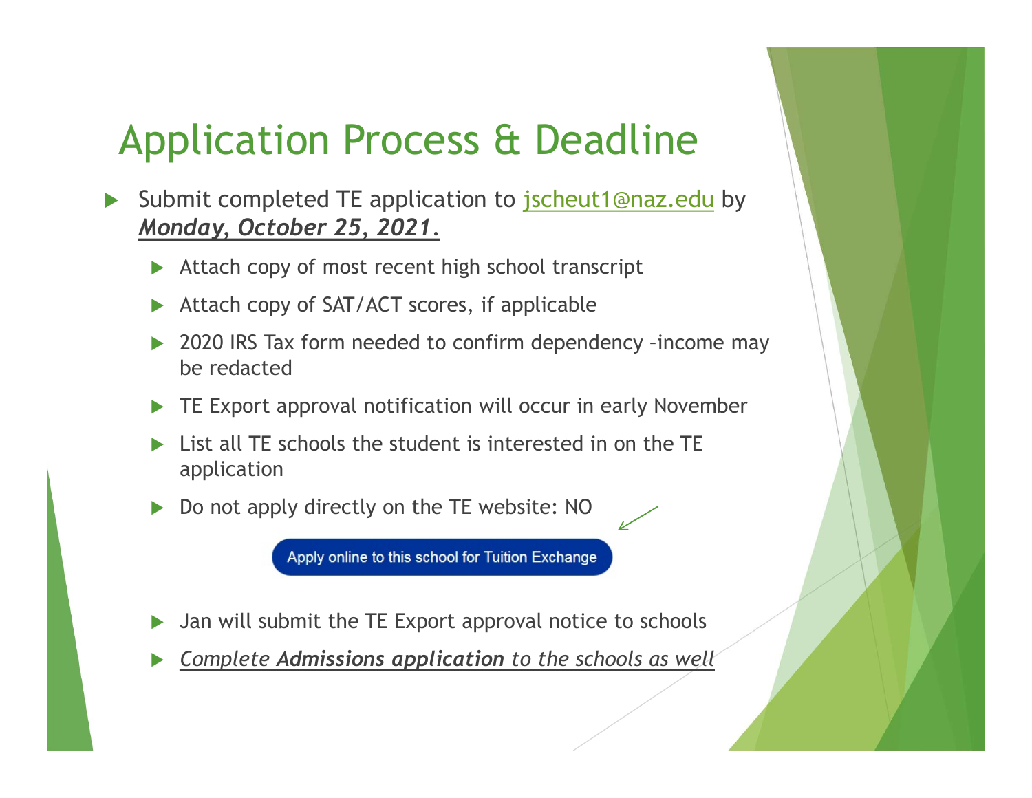## Application Process & Deadline

- Submit completed TE application to jscheut1@naz.edu by Monday, October 25, 2021.
	- Attach copy of most recent high school transcript
	- ▶ Attach copy of SAT/ACT scores, if applicable
	- ▶ 2020 IRS Tax form needed to confirm dependency -income may be redacted
	- **TE Export approval notification will occur in early November**
	- List all TE schools the student is interested in on the TE application
	- Do not apply directly on the TE website: NO

Apply online to this school for Tuition Exchange

- ▶ Jan will submit the TE Export approval notice to schools
- Complete Admissions application to the schools as well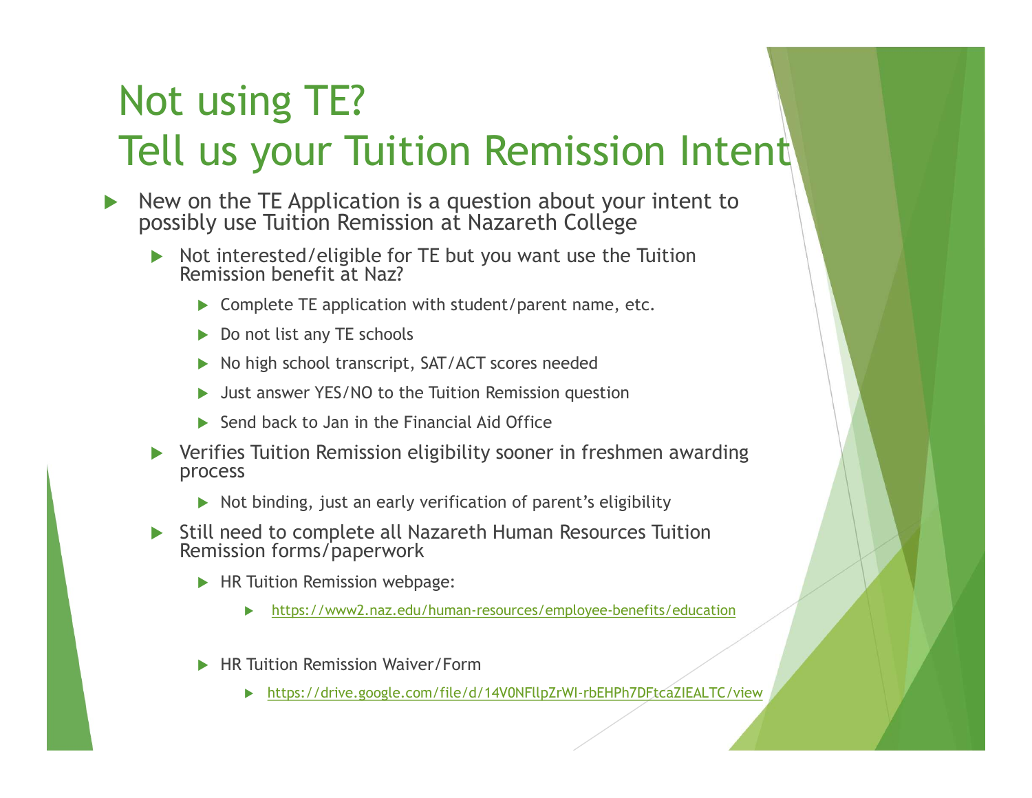## Not using TE? Tell us your Tuition Remission Intent

- $\triangleright$  New on the TE Application is a question about your intent to possibly use Tuition Remission at Nazareth College
	- Not interested/eligible for TE but you want use the Tuition Remission benefit at Naz?
		- Complete TE application with student/parent name, etc.
		- Do not list any TE schools
		- No high school transcript, SAT/ACT scores needed
		- Just answer YES/NO to the Tuition Remission question
		- Send back to Jan in the Financial Aid Office
	- Verifies Tuition Remission eligibility sooner in freshmen awarding process
		- Not binding, just an early verification of parent's eligibility
	- Still need to complete all Nazareth Human Resources Tuition Remission forms/paperwork
		- **HR Tuition Remission webpage:** 
			- https://www2.naz.edu/human-resources/employee-benefits/education
		- ▶ HR Tuition Remission Waiver/Form
			- https://drive.google.com/file/d/14V0NFllpZrWI-rbEHPh7DFtcaZIEALTC/view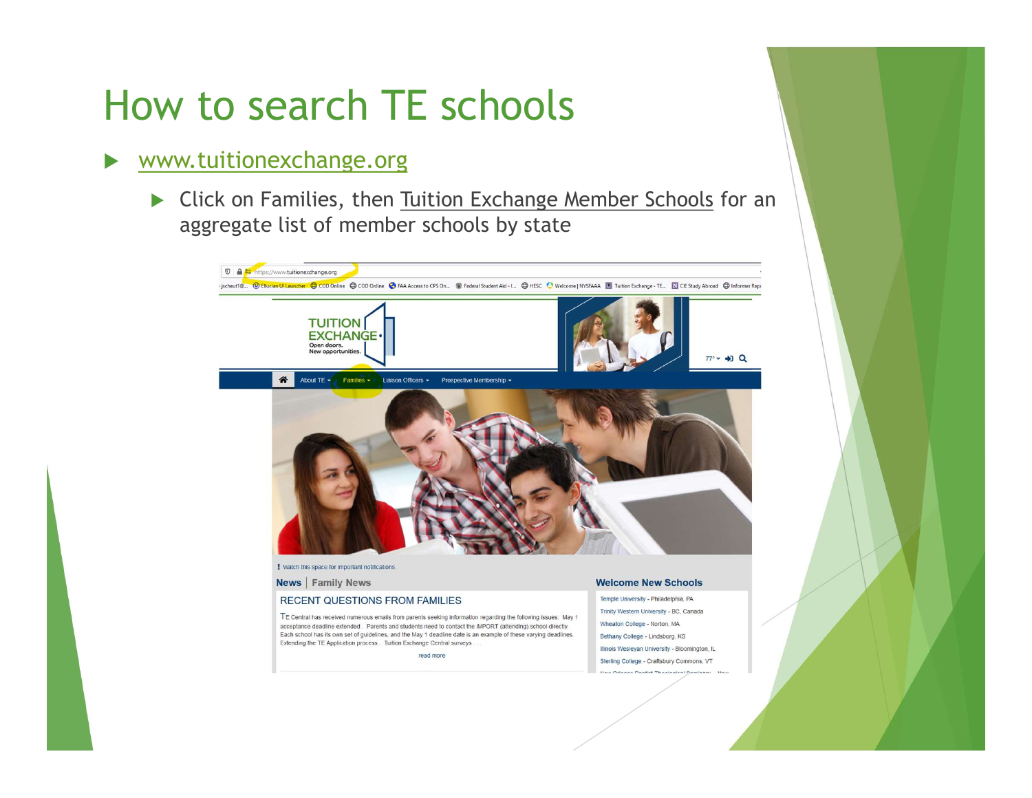## How to search TE schools

#### www.tuitionexchange.org

 Click on Families, then Tuition Exchange Member Schools for an aggregate list of member schools by state

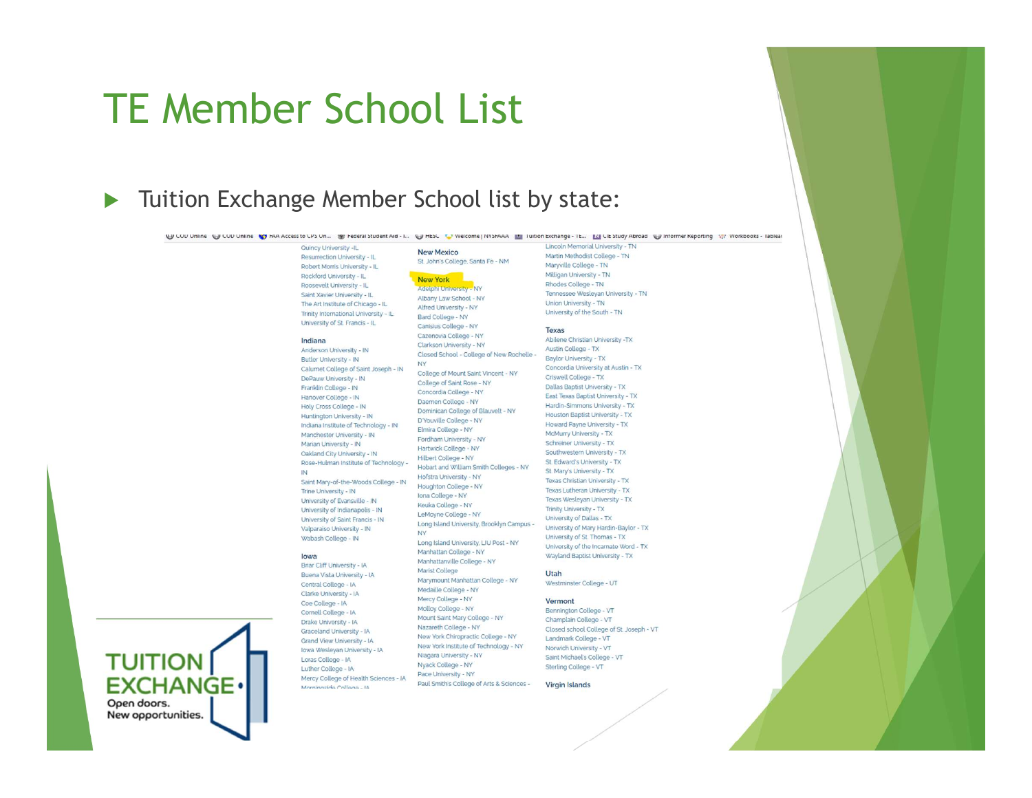#### TE Member School List

#### Tuition Exchange Member School list by state:

UJ COD Unline UJ COD Unline Vy FAA Access to CPS Un... W Federal Student Aid - I... UJ HESC TV Welcome | NYSFAAA | III luition Exchange - IE... | IXI CIE Study Abroad UJ Informer Keporting 17: Workbooks - lableat

New Mexico

New York

Alfred University - NY

Canisius College - NY

Cazenovia College - NY

Clarkson University - NY

College of Saint Rose - NY

Concordia College - NY

Daemen College - NY

D'Youville College - NY

Fordham University - NY

Hartwick College - NY

Hofstra University - NY

Houghton College - NY

Iona College - NY

**NY** 

Keuka College - NY

LeMoyne College - NY

Manhattan College - NY

Medaille College - NY

Mercy College - NY

Molloy College - NY

Nazareth College - NY

Niagara University - NY

Nyack College - NY

Pace University - NY

Marist College

Manhattanville College - NY

Hilbert College - NY

Elmira College - NY

Closed School - College of New Rochelle -

College of Mount Saint Vincent - NY

Dominican College of Blauvelt - NY

Hobart and William Smith Colleges - NY

Long Island University, Brooklyn Campus -

Long Island University, LIU Post - NY

Marymount Manhattan College - NY

Mount Saint Mary College - NY

New York Chiropractic College - NY

New York Institute of Technology - NY

Paul Smith's College of Arts & Sciences -

Bard College - NY

**NY** 

#### Quincy University -IL

Resurrection University - IL Robert Morris University - IL Rockford University - II Roosevelt University - IL Saint Xavier University - II The Art Institute of Chicago - IL Trinity International University - IL University of St. Francis - IL

#### Indiana

Anderson University - IN Butler University - IN Calumet College of Saint Joseph - IN DePauw University - IN Franklin College - IN Hanover College - IN Holy Cross College - IN Huntington University - IN Indiana Institute of Technology - IN Manchester University - IN Marian University - IN Oakland City University - IN Rose-Hulman Institute of Technology -Saint Mary-of-the-Woods College - IN **Trine University - IN** University of Evansville - IN University of Indianapolis - IN University of Saint Francis - IN

lowa

Valparaiso University - IN

Wabash College - IN

Briar Cliff University - IA Buena Vista University - IA Central College - IA Clarke University - IA Coe College - IA Cornell College - IA Drake University - IA Graceland University - IA Grand View University - IA Iowa Wesleyan University - IA Loras College - IA Luther College - IA Mercy College of Health Sciences - IA Al - analla a ahionr

Martin Methodist College - TN St. John's College, Santa Fe - NM Maryville College - TN Milligan University - TN Rhodes College - TN Adelphi University - NY Tennessee Wesleyan University - TN Albany Law School - NY

#### Texas

Abilene Christian University -TX Austin College - TX Baylor University - TX Concordia University at Austin - TX Criswell College - TX Dallas Baptist University - TX East Texas Baptist University - TX Hardin-Simmons University - TX Houston Baptist University - TX Howard Dayne University - TY McMurry University - TX Schrainer University - TY Southwestern University - TX St. Edward's University - TX St. Mary's University - TX Texas Christian University - TX Texas Lutheran University - TX Texas Wesleyan University - TX Trinity University - TX University of Dallas - TX University of Mary Hardin-Baylor - TX University of St. Thomas - TX University of the Incarnate Word - TX Wayland Baptist University - TX

Lincoln Memorial University - TN

Union University - TN

University of the South - TN

#### Utah

Westminster College - UT

#### Vermont

Bennington College - VT Champlain College - VT Closed school College of St. Joseph - VT Landmark College - VT Norwich University - VT Saint Michael's College - VT Sterling College - VT

**Virgin Islands** 



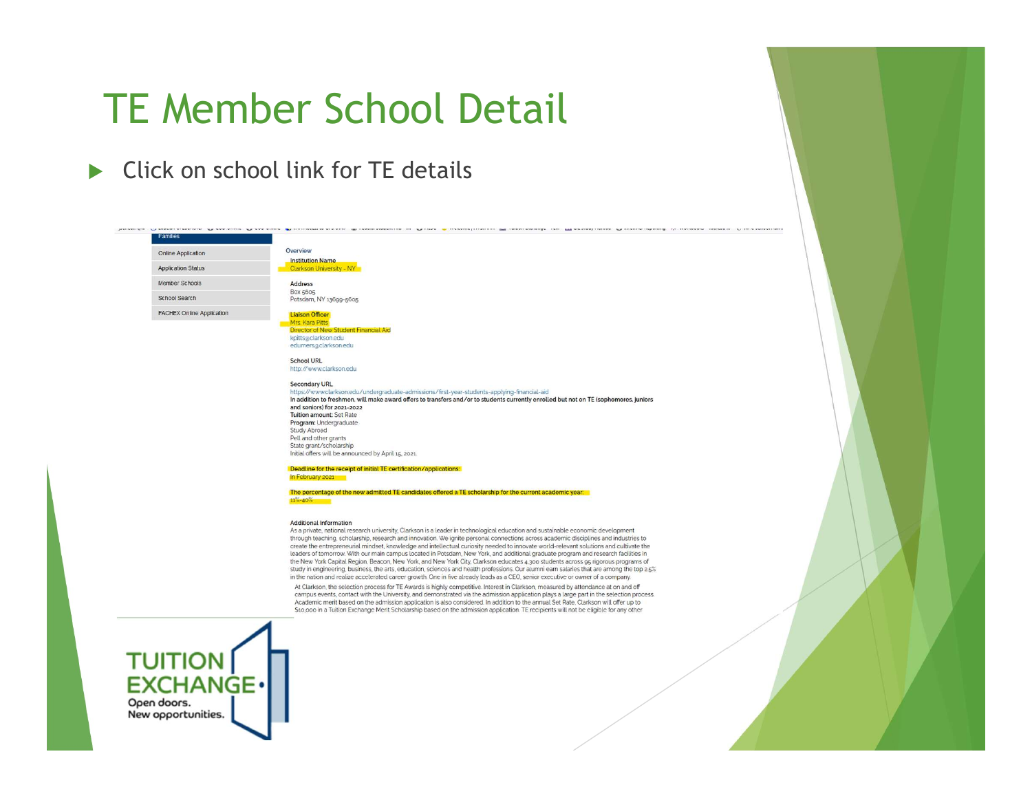### TE Member School Detail

Click on school link for TF details

#### Overview Online Application **Institution Name Application Status** Clarkson University - NY Member Schools Address Box 5605 Potsdam, NY 13699-5605 FACHEX Online Application **Liaison Officer** Mrs. Kara Pitts Director of New Student Financial Aid kpitts@clarkson.edu edumersaclarkson.edu **School URL** http://www.clarkson.edu Secondary URL https://www.clarkson.edu/undergraduate-admissions/first-year-students-applying-financial-aid In addition to freshmen, will make award offers to transfers and/or to students currently enrolled but not on TE (sophomores, juniors and seniors) for 2021-2022 Tuition amount: Set Rate Program: Undergraduate Study Abroad Pell and other grants State grant/scholarship Initial offers will be announced by April 15, 2021 Deadline for the receipt of initial TE certification/applications: In February 2021 The percentage of the new admitted TE candidates offered a TE scholarship for the current academic year.  $11% - 40%$

**Additional Information** 

As a private, national research university, Clarkson is a leader in technological education and sustainable economic development through teaching, scholarship, research and innovation. We ignite personal connections across academic disciplines and industries to create the entrepreneurial mindset, knowledge and intellectual curiosity needed to innovate world-relevant solutions and cultivate the leaders of tomorrow. With our main campus located in Potsdam, New York, and additional graduate program and research facilities in the New York Capital Region, Beacon, New York, and New York City, Clarkson educates 4,300 students across 95 rigorous programs of study in engineering, business, the arts, education, sciences and health professions. Our alumni earn salaries that are among the top 2.5% in the nation and realize accelerated career growth. One in five already leads as a CEO, senior executive or owner of a company.

At Clarkson, the selection process for TE Awards is highly competitive. Interest in Clarkson, measured by attendance at on and off campus events, contact with the University, and demonstrated via the admission application plays a large part in the selection process. Academic merit based on the admission application is also considered. In addition to the annual Set Rate, Clarkson will offer up to \$10,000 in a Tuition Exchange Merit Scholarship based on the admission application. TE recipients will not be eligible for any other



amilies

School Search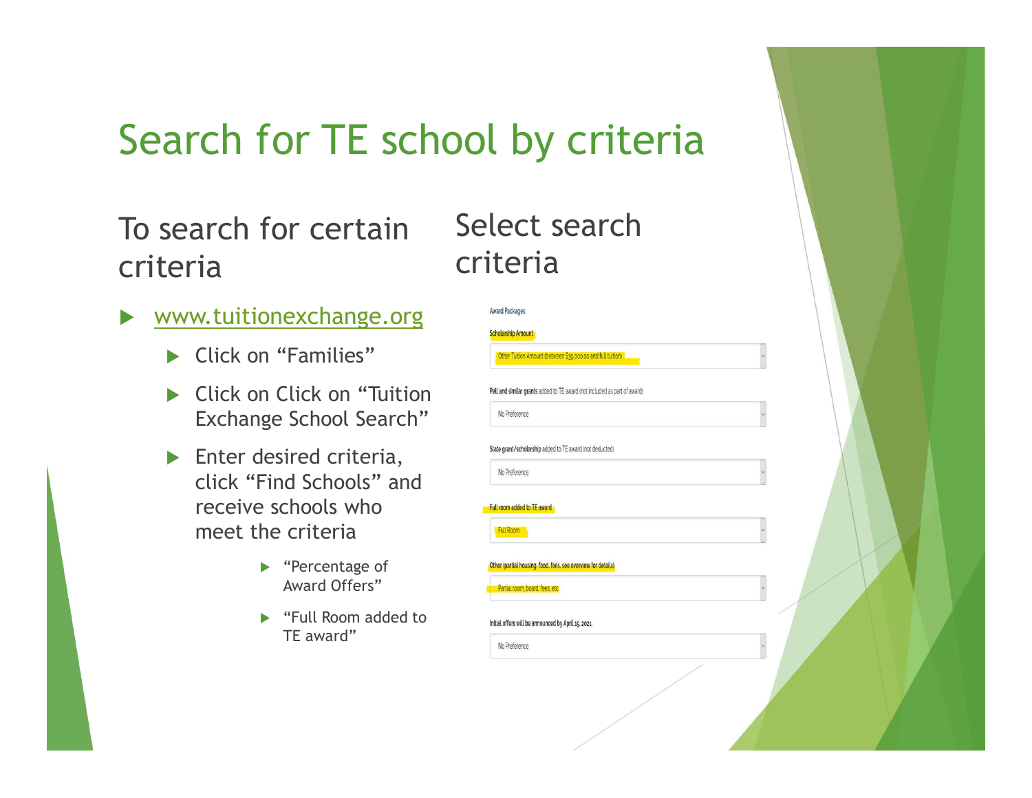## Search for TE school

To search for certain criteria

- www.tuitionexchange.org
	- ▶ Click on "Families"
	- ▶ Click on Click on "Tuition Exchange School Search"
	- **Enter desired criteria,** click "Find Schools" and receive schools who meet the criteria
		- ▶ "Percentage of Award Offers"
		- ▶ "Full Room added to TE award"

| ol by criteria                                                                                                    |              |  |
|-------------------------------------------------------------------------------------------------------------------|--------------|--|
| Select search<br>criteria                                                                                         |              |  |
| <b>Award Packages</b><br><b>Scholarship Amount</b><br>Other Tuition Amount (between \$39,000.00 and full tuition) |              |  |
| Pell and similar grants added to TE award (not included as part of award)<br>No Preference                        |              |  |
| State grant/scholarship added to TE award (not deducted)<br>No Preference<br>Full room added to TE award          |              |  |
| Full Room<br>Other (partial housing, food, fees, see overview for details)                                        |              |  |
| Partial room, board, fees, etc.<br>Initial offers will be announced by April 15, 2021.                            | $\checkmark$ |  |
| No Preference                                                                                                     |              |  |